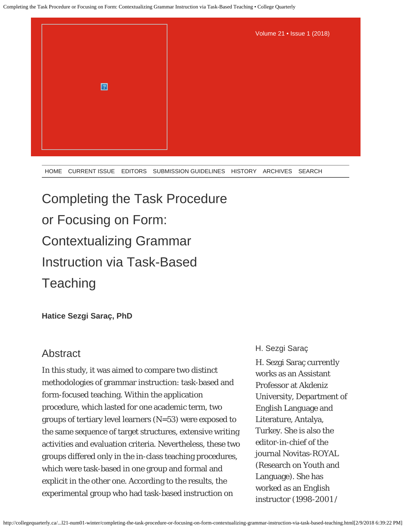

[HOME](http://collegequarterly.ca/index.html) [CURRENT ISSUE](http://collegequarterly.ca/2018-vol21-num01-winter/index.html) [EDITORS](http://collegequarterly.ca/2018-vol21-num01-winter/editors.html) [SUBMISSION GUIDELINES](http://collegequarterly.ca/info_authors.html) [HISTORY](http://collegequarterly.ca/history.html) [ARCHIVES](http://collegequarterly.ca/archive.html) [SEARCH](http://collegequarterly.ca/search.html)

# Completing the Task Procedure or Focusing on Form: Contextualizing Grammar Instruction via Task-Based **Teaching**

**Hatice Sezgi Saraç, PhD**

## **Abstract**

In this study, it was aimed to compare two distinct methodologies of grammar instruction: task-based and form-focused teaching. Within the application procedure, which lasted for one academic term, two groups of tertiary level learners (N=53) were exposed to the same sequence of target structures, extensive writing activities and evaluation criteria. Nevertheless, these two groups differed only in the in-class teaching procedures, which were task-based in one group and formal and explicit in the other one. According to the results, the experimental group who had task-based instruction on

#### H. Sezgi Saraç

H. Sezgi Saraç currently works as an Assistant Professor at Akdeniz University, Department of English Language and Literature, Antalya, Turkey. She is also the editor-in-chief of the journal Novitas-ROYAL (Research on Youth and Language). She has worked as an English instructor (1998-2001 /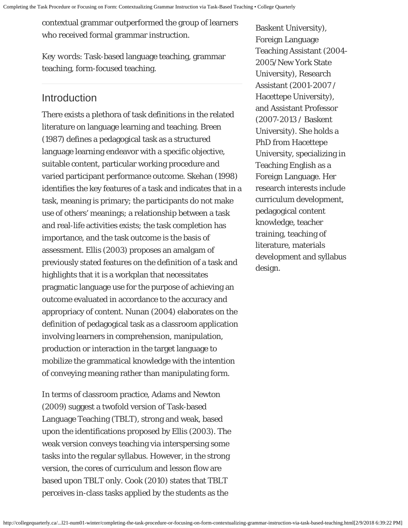contextual grammar outperformed the group of learners who received formal grammar instruction.

*Key words*: Task-based language teaching, grammar teaching, form-focused teaching.

# Introduction

There exists a plethora of task definitions in the related literature on language learning and teaching. Breen (1987) defines a pedagogical task as a structured language learning endeavor with a specific objective, suitable content, particular working procedure and varied participant performance outcome. Skehan (1998) identifies the key features of a task and indicates that in a task, meaning is primary; the participants do not make use of others' meanings; a relationship between a task and real-life activities exists; the task completion has importance, and the task outcome is the basis of assessment. Ellis (2003) proposes an amalgam of previously stated features on the definition of a task and highlights that it is a workplan that necessitates pragmatic language use for the purpose of achieving an outcome evaluated in accordance to the accuracy and appropriacy of content. Nunan (2004) elaborates on the definition of pedagogical task as a classroom application involving learners in comprehension, manipulation, production or interaction in the target language to mobilize the grammatical knowledge with the intention of conveying meaning rather than manipulating form.

In terms of classroom practice, Adams and Newton (2009) suggest a twofold version of Task-based Language Teaching (TBLT), strong and weak, based upon the identifications proposed by Ellis (2003). The weak version conveys teaching via interspersing some tasks into the regular syllabus. However, in the strong version, the cores of curriculum and lesson flow are based upon TBLT only. Cook (2010) states that TBLT perceives in-class tasks applied by the students as the

Baskent University), Foreign Language Teaching Assistant (2004- 2005/New York State University), Research Assistant (2001-2007 / Hacettepe University), and Assistant Professor (2007-2013 / Baskent University). She holds a PhD from Hacettepe University, specializing in Teaching English as a Foreign Language. Her research interests include curriculum development, pedagogical content knowledge, teacher training, teaching of literature, materials development and syllabus design.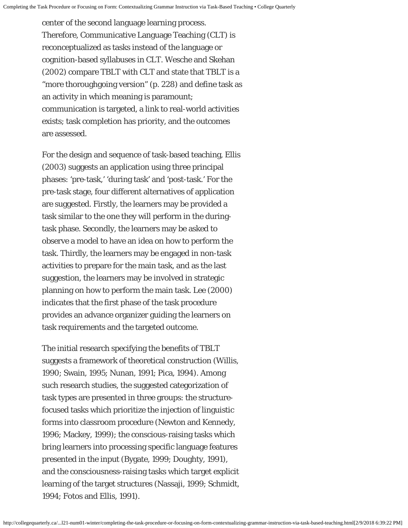center of the second language learning process. Therefore, Communicative Language Teaching (CLT) is reconceptualized as tasks instead of the language or cognition-based syllabuses in CLT. Wesche and Skehan (2002) compare TBLT with CLT and state that TBLT is a "more thoroughgoing version" (p. 228) and define task as an activity in which meaning is paramount; communication is targeted, a link to real-world activities exists; task completion has priority, and the outcomes are assessed.

For the design and sequence of task-based teaching, Ellis (2003) suggests an application using three principal phases: 'pre-task,' 'during task' and 'post-task.' For the pre-task stage, four different alternatives of application are suggested. Firstly, the learners may be provided a task similar to the one they will perform in the duringtask phase. Secondly, the learners may be asked to observe a model to have an idea on how to perform the task. Thirdly, the learners may be engaged in non-task activities to prepare for the main task, and as the last suggestion, the learners may be involved in strategic planning on how to perform the main task. Lee (2000) indicates that the first phase of the task procedure provides an advance organizer guiding the learners on task requirements and the targeted outcome.

The initial research specifying the benefits of TBLT suggests a framework of theoretical construction (Willis, 1990; Swain, 1995; Nunan, 1991; Pica, 1994). Among such research studies, the suggested categorization of task types are presented in three groups: the structurefocused tasks which prioritize the injection of linguistic forms into classroom procedure (Newton and Kennedy, 1996; Mackey, 1999); the conscious-raising tasks which bring learners into processing specific language features presented in the input (Bygate, 1999; Doughty, 1991), and the consciousness-raising tasks which target explicit learning of the target structures (Nassaji, 1999; Schmidt, 1994; Fotos and Ellis, 1991).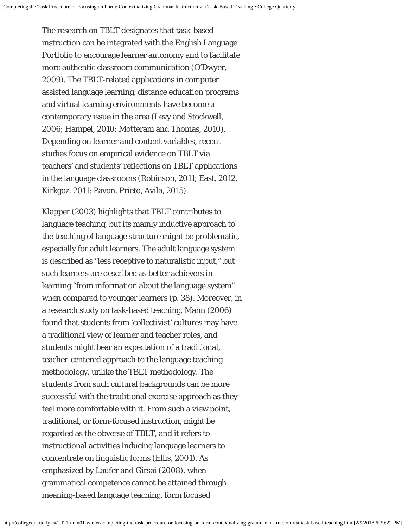The research on TBLT designates that task-based instruction can be integrated with the English Language Portfolio to encourage learner autonomy and to facilitate more authentic classroom communication (O'Dwyer, 2009). The TBLT-related applications in computer assisted language learning, distance education programs and virtual learning environments have become a contemporary issue in the area (Levy and Stockwell, 2006; Hampel, 2010; Motteram and Thomas, 2010). Depending on learner and content variables, recent studies focus on empirical evidence on TBLT via teachers' and students' reflections on TBLT applications in the language classrooms (Robinson, 2011; East, 2012, Kirkgoz, 2011; Pavon, Prieto, Avila, 2015).

Klapper (2003) highlights that TBLT contributes to language teaching, but its mainly inductive approach to the teaching of language structure might be problematic, especially for adult learners. The adult language system is described as "less receptive to naturalistic input," but such learners are described as better achievers in learning "from information about the language system" when compared to younger learners (p. 38). Moreover, in a research study on task-based teaching, Mann (2006) found that students from 'collectivist' cultures may have a traditional view of learner and teacher roles, and students might bear an expectation of a traditional, teacher-centered approach to the language teaching methodology, unlike the TBLT methodology. The students from such cultural backgrounds can be more successful with the traditional exercise approach as they feel more comfortable with it. From such a view point, traditional, or form-focused instruction, might be regarded as the obverse of TBLT, and it refers to instructional activities inducing language learners to concentrate on linguistic forms (Ellis, 2001). As emphasized by Laufer and Girsai (2008), when grammatical competence cannot be attained through meaning-based language teaching, form focused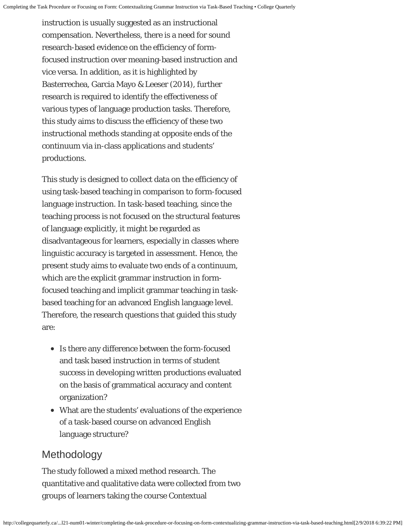instruction is usually suggested as an instructional compensation. Nevertheless, there is a need for sound research-based evidence on the efficiency of formfocused instruction over meaning-based instruction and vice versa. In addition, as it is highlighted by Basterrechea, Garcia Mayo & Leeser (2014), further research is required to identify the effectiveness of various types of language production tasks. Therefore, this study aims to discuss the efficiency of these two instructional methods standing at opposite ends of the continuum via in-class applications and students' productions.

This study is designed to collect data on the efficiency of using task-based teaching in comparison to form-focused language instruction. In task-based teaching, since the teaching process is not focused on the structural features of language explicitly, it might be regarded as disadvantageous for learners, especially in classes where linguistic accuracy is targeted in assessment. Hence, the present study aims to evaluate two ends of a continuum, which are the explicit grammar instruction in formfocused teaching and implicit grammar teaching in taskbased teaching for an advanced English language level. Therefore, the research questions that guided this study are:

- Is there any difference between the form-focused and task based instruction in terms of student success in developing written productions evaluated on the basis of grammatical accuracy and content organization?
- What are the students' evaluations of the experience of a task-based course on advanced English language structure?

## Methodology

The study followed a mixed method research. The quantitative and qualitative data were collected from two groups of learners taking the course Contextual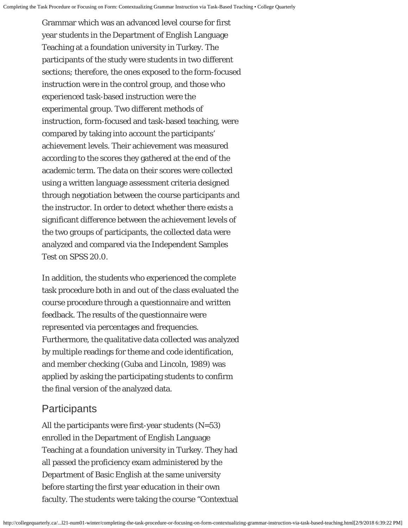Grammar which was an advanced level course for first year students in the Department of English Language Teaching at a foundation university in Turkey. The participants of the study were students in two different sections; therefore, the ones exposed to the form-focused instruction were in the control group, and those who experienced task-based instruction were the experimental group. Two different methods of instruction, form-focused and task-based teaching, were compared by taking into account the participants' achievement levels. Their achievement was measured according to the scores they gathered at the end of the academic term. The data on their scores were collected using a written language assessment criteria designed through negotiation between the course participants and the instructor. In order to detect whether there exists a significant difference between the achievement levels of the two groups of participants, the collected data were analyzed and compared via the Independent Samples Test on SPSS 20.0.

In addition, the students who experienced the complete task procedure both in and out of the class evaluated the course procedure through a questionnaire and written feedback. The results of the questionnaire were represented via percentages and frequencies. Furthermore, the qualitative data collected was analyzed by multiple readings for theme and code identification, and member checking (Guba and Lincoln, 1989) was applied by asking the participating students to confirm the final version of the analyzed data.

## **Participants**

All the participants were first-year students  $(N=53)$ enrolled in the Department of English Language Teaching at a foundation university in Turkey. They had all passed the proficiency exam administered by the Department of Basic English at the same university before starting the first year education in their own faculty. The students were taking the course "Contextual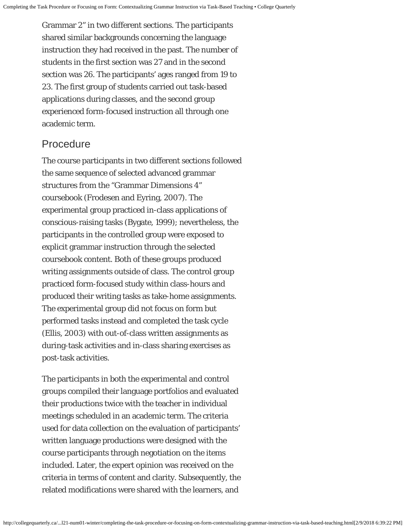Grammar 2" in two different sections. The participants shared similar backgrounds concerning the language instruction they had received in the past. The number of students in the first section was 27 and in the second section was 26. The participants' ages ranged from 19 to 23. The first group of students carried out task-based applications during classes, and the second group experienced form-focused instruction all through one academic term.

## Procedure

The course participants in two different sections followed the same sequence of selected advanced grammar structures from the "Grammar Dimensions 4" coursebook (Frodesen and Eyring, 2007). The experimental group practiced in-class applications of conscious-raising tasks (Bygate, 1999); nevertheless, the participants in the controlled group were exposed to explicit grammar instruction through the selected coursebook content. Both of these groups produced writing assignments outside of class. The control group practiced form-focused study within class-hours and produced their writing tasks as take-home assignments. The experimental group did not focus on form but performed tasks instead and completed the task cycle (Ellis, 2003) with out-of-class written assignments as during-task activities and in-class sharing exercises as post-task activities.

The participants in both the experimental and control groups compiled their language portfolios and evaluated their productions twice with the teacher in individual meetings scheduled in an academic term. The criteria used for data collection on the evaluation of participants' written language productions were designed with the course participants through negotiation on the items included. Later, the expert opinion was received on the criteria in terms of content and clarity. Subsequently, the related modifications were shared with the learners, and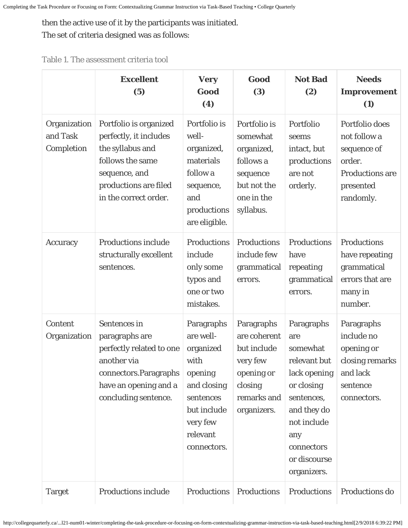then the active use of it by the participants was initiated.

The set of criteria designed was as follows:

|  |  | Table 1. The assessment criteria tool |  |  |
|--|--|---------------------------------------|--|--|
|--|--|---------------------------------------|--|--|

|                                        | <b>Excellent</b><br>(5)                                                                                                                                     | <b>Very</b><br>Good<br>(4)                                                                                                                | Good<br>(3)                                                                                                  | <b>Not Bad</b><br>(2)                                                                                                                                                       | <b>Needs</b><br><b>Improvement</b><br>(1)                                                                   |
|----------------------------------------|-------------------------------------------------------------------------------------------------------------------------------------------------------------|-------------------------------------------------------------------------------------------------------------------------------------------|--------------------------------------------------------------------------------------------------------------|-----------------------------------------------------------------------------------------------------------------------------------------------------------------------------|-------------------------------------------------------------------------------------------------------------|
| Organization<br>and Task<br>Completion | Portfolio is organized<br>perfectly, it includes<br>the syllabus and<br>follows the same<br>sequence, and<br>productions are filed<br>in the correct order. | Portfolio is<br>well-<br>organized,<br>materials<br>follow a<br>sequence,<br>and<br>productions<br>are eligible.                          | Portfolio is<br>somewhat<br>organized,<br>follows a<br>sequence<br>but not the<br>one in the<br>syllabus.    | Portfolio<br>seems<br>intact, but<br>productions<br>are not<br>orderly.                                                                                                     | Portfolio does<br>not follow a<br>sequence of<br>order.<br><b>Productions are</b><br>presented<br>randomly. |
| Accuracy                               | <b>Productions include</b><br>structurally excellent<br>sentences.                                                                                          | Productions<br>include<br>only some<br>typos and<br>one or two<br>mistakes.                                                               | Productions<br>include few<br>grammatical<br>errors.                                                         | Productions<br>have<br>repeating<br>grammatical<br>errors.                                                                                                                  | <b>Productions</b><br>have repeating<br>grammatical<br>errors that are<br>many in<br>number.                |
| Content<br>Organization                | Sentences in<br>paragraphs are<br>perfectly related to one<br>another via<br>connectors. Paragraphs<br>have an opening and a<br>concluding sentence.        | Paragraphs<br>are well-<br>organized<br>with<br>opening<br>and closing<br>sentences<br>but include<br>very few<br>relevant<br>connectors. | Paragraphs<br>are coherent<br>but include<br>very few<br>opening or<br>closing<br>remarks and<br>organizers. | Paragraphs<br>are<br>somewhat<br>relevant but<br>lack opening<br>or closing<br>sentences,<br>and they do<br>not include<br>any<br>connectors<br>or discourse<br>organizers. | Paragraphs<br>include no<br>opening or<br>closing remarks<br>and lack<br>sentence<br>connectors.            |
| <b>Target</b>                          | <b>Productions include</b>                                                                                                                                  | Productions                                                                                                                               | Productions                                                                                                  | Productions                                                                                                                                                                 | Productions do                                                                                              |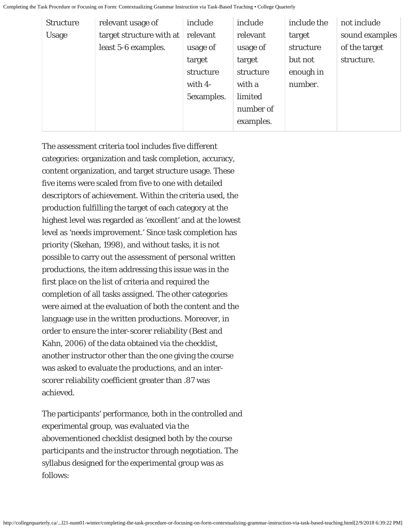| <b>Structure</b> | relevant usage of        | include    | include   | include the | not include    |
|------------------|--------------------------|------------|-----------|-------------|----------------|
| <b>Usage</b>     | target structure with at | relevant   | relevant  | target      | sound examples |
|                  | least 5-6 examples.      | usage of   | usage of  | structure   | of the target  |
|                  |                          | target     | target    | but not     | structure.     |
|                  |                          | structure  | structure | enough in   |                |
|                  |                          | with $4-$  | with a    | number.     |                |
|                  |                          | 5examples. | limited   |             |                |
|                  |                          |            | number of |             |                |
|                  |                          |            | examples. |             |                |
|                  |                          |            |           |             |                |

The assessment criteria tool includes five different categories: organization and task completion, accuracy, content organization, and target structure usage. These five items were scaled from five to one with detailed descriptors of achievement. Within the criteria used, the production fulfilling the target of each category at the highest level was regarded as 'excellent' and at the lowest level as 'needs improvement.' Since task completion has priority (Skehan, 1998), and without tasks, it is not possible to carry out the assessment of personal written productions, the item addressing this issue was in the first place on the list of criteria and required the completion of all tasks assigned. The other categories were aimed at the evaluation of both the content and the language use in the written productions. Moreover, in order to ensure the inter-scorer reliability (Best and Kahn, 2006) of the data obtained via the checklist, another instructor other than the one giving the course was asked to evaluate the productions, and an interscorer reliability coefficient greater than .87 was achieved.

The participants' performance, both in the controlled and experimental group, was evaluated via the abovementioned checklist designed both by the course participants and the instructor through negotiation. The syllabus designed for the experimental group was as follows: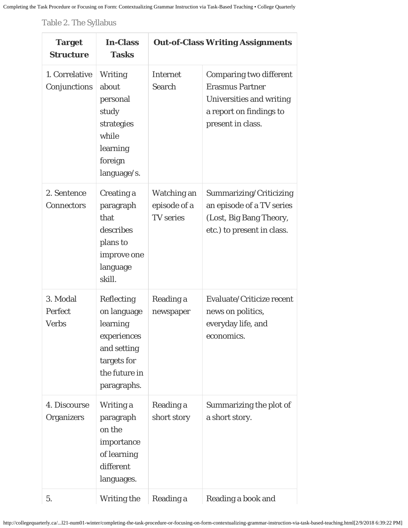Table 2. The Syllabus

| <b>Target</b><br><b>Structure</b>   | <b>In-Class</b><br><b>Tasks</b>                                                                                    |                                                 | <b>Out-of-Class Writing Assignments</b>                                                                                              |
|-------------------------------------|--------------------------------------------------------------------------------------------------------------------|-------------------------------------------------|--------------------------------------------------------------------------------------------------------------------------------------|
| 1. Correlative<br>Conjunctions      | <b>Writing</b><br>about<br>personal<br>study<br>strategies<br>while<br>learning<br>foreign<br>language/s.          | <b>Internet</b><br>Search                       | <b>Comparing two different</b><br><b>Erasmus Partner</b><br>Universities and writing<br>a report on findings to<br>present in class. |
| 2. Sentence<br><b>Connectors</b>    | <b>Creating a</b><br>paragraph<br>that<br>describes<br>plans to<br>improve one<br>language<br>skill.               | Watching an<br>episode of a<br><b>TV</b> series | Summarizing/Criticizing<br>an episode of a TV series<br>(Lost, Big Bang Theory,<br>etc.) to present in class.                        |
| 3. Modal<br>Perfect<br><b>Verbs</b> | Reflecting<br>on language<br>learning<br>experiences<br>and setting<br>targets for<br>the future in<br>paragraphs. | Reading a<br>newspaper                          | Evaluate/Criticize recent<br>news on politics,<br>everyday life, and<br>economics.                                                   |
| 4. Discourse<br><b>Organizers</b>   | Writing a<br>paragraph<br>on the<br>importance<br>of learning<br>different<br>languages.                           | Reading a<br>short story                        | Summarizing the plot of<br>a short story.                                                                                            |
| 5.                                  | <b>Writing the</b>                                                                                                 | Reading a                                       | Reading a book and                                                                                                                   |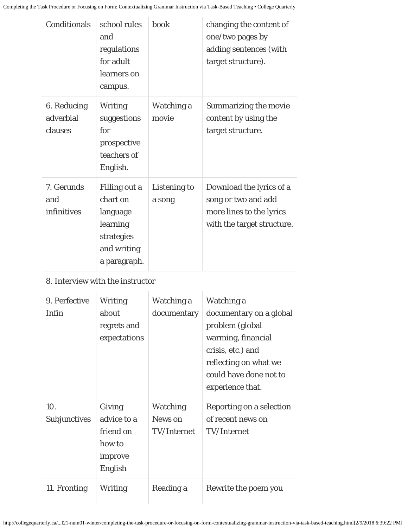| Conditionals                        | school rules<br>and<br>regulations<br>for adult<br>learners on<br>campus.                      | book                                      | changing the content of<br>one/two pages by<br>adding sentences (with<br>target structure).                    |
|-------------------------------------|------------------------------------------------------------------------------------------------|-------------------------------------------|----------------------------------------------------------------------------------------------------------------|
| 6. Reducing<br>adverbial<br>clauses | <b>Writing</b><br>suggestions<br>for<br>prospective<br>teachers of<br>English.                 | Watching a<br>movie                       | <b>Summarizing the movie</b><br>content by using the<br>target structure.                                      |
| 7. Gerunds<br>and<br>infinitives    | Filling out a<br>chart on<br>language<br>learning<br>strategies<br>and writing<br>a paragraph. | <b>Listening to</b><br>a song             | Download the lyrics of a<br>song or two and add<br>more lines to the lyrics<br>with the target structure.      |
|                                     | 8. Interview with the instructor                                                               |                                           |                                                                                                                |
| 9. Perfective<br>Infin              | <b>Writing</b><br>about<br>regrets and<br>expectations                                         | Watching a<br>documentary                 | Watching a<br>documentary on a global<br>problem (global                                                       |
|                                     |                                                                                                |                                           | warming, financial<br>crisis, etc.) and<br>reflecting on what we<br>could have done not to<br>experience that. |
| 10.<br>Subjunctives                 | Giving<br>advice to a<br>friend on<br>how to<br>improve<br>English                             | <b>Watching</b><br>News on<br>TV/Internet | Reporting on a selection<br>of recent news on<br><b>TV/Internet</b>                                            |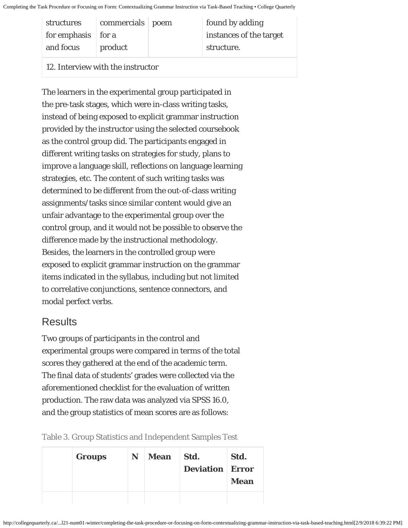| structures                 | commercials poem | found by adding         |
|----------------------------|------------------|-------------------------|
| for emphasis $\vert$ for a |                  | instances of the target |
| and focus                  | product          | structure.              |
|                            |                  |                         |

12. Interview with the instructor

The learners in the experimental group participated in the pre-task stages, which were in-class writing tasks, instead of being exposed to explicit grammar instruction provided by the instructor using the selected coursebook as the control group did. The participants engaged in different writing tasks on strategies for study, plans to improve a language skill, reflections on language learning strategies, etc. The content of such writing tasks was determined to be different from the out-of-class writing assignments/tasks since similar content would give an unfair advantage to the experimental group over the control group, and it would not be possible to observe the difference made by the instructional methodology. Besides, the learners in the controlled group were exposed to explicit grammar instruction on the grammar items indicated in the syllabus, including but not limited to correlative conjunctions, sentence connectors, and modal perfect verbs.

# **Results**

Two groups of participants in the control and experimental groups were compared in terms of the total scores they gathered at the end of the academic term. The final data of students' grades were collected via the aforementioned checklist for the evaluation of written production. The raw data was analyzed via SPSS 16.0, and the group statistics of mean scores are as follows:

Table 3. Group Statistics and Independent Samples Test

|  | <b>Groups</b> | N | <b>Mean</b> | Std.<br><b>Deviation Error</b> | Std.<br><b>Mean</b> |
|--|---------------|---|-------------|--------------------------------|---------------------|
|  |               |   |             |                                |                     |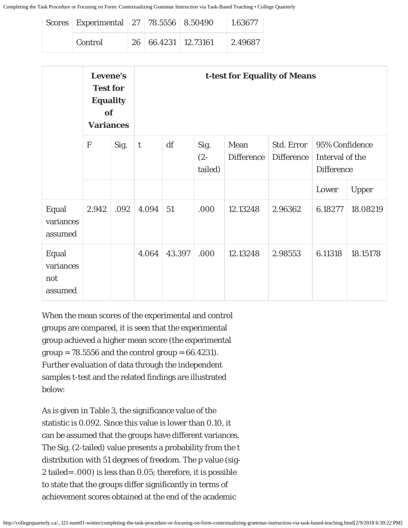| Scores Experimental 27 78.5556 8.50490 |                     | 1.63677 |
|----------------------------------------|---------------------|---------|
| <b>Control</b>                         | 26 66.4231 12.73161 | 2.49687 |

| Levene's<br><b>t-test for Equality of Means</b><br><b>Test for</b><br><b>Equality</b><br>of<br><b>Variances</b> |             |      |             |        |                           |                           |                                 |                                                        |              |
|-----------------------------------------------------------------------------------------------------------------|-------------|------|-------------|--------|---------------------------|---------------------------|---------------------------------|--------------------------------------------------------|--------------|
|                                                                                                                 | $\mathbf F$ | Sig. | $\mathbf t$ | df     | Sig.<br>$(2 -$<br>tailed) | Mean<br><b>Difference</b> | Std. Error<br><b>Difference</b> | 95% Confidence<br>Interval of the<br><b>Difference</b> |              |
|                                                                                                                 |             |      |             |        |                           |                           |                                 | Lower                                                  | <b>Upper</b> |
| Equal<br>variances<br>assumed                                                                                   | 2.942       | .092 | 4.094       | 51     | .000                      | 12.13248                  | 2.96362                         | 6.18277                                                | 18.08219     |
| Equal<br>variances<br>not<br>assumed                                                                            |             |      | 4.064       | 43.397 | .000                      | 12.13248                  | 2.98553                         | 6.11318                                                | 18.15178     |

When the mean scores of the experimental and control groups are compared, it is seen that the experimental group achieved a higher mean score (the experimental group =  $78.5556$  and the control group =  $66.4231$ . Further evaluation of data through the independent samples t-test and the related findings are illustrated below:

As is given in Table 3, the significance value of the statistic is 0.092. Since this value is lower than 0.10, it can be assumed that the groups have different variances. The Sig. (2-tailed) value presents a probability from the t distribution with 51 degrees of freedom. The p value (sig-2 tailed= .000) is less than 0.05; therefore, it is possible to state that the groups differ significantly in terms of achievement scores obtained at the end of the academic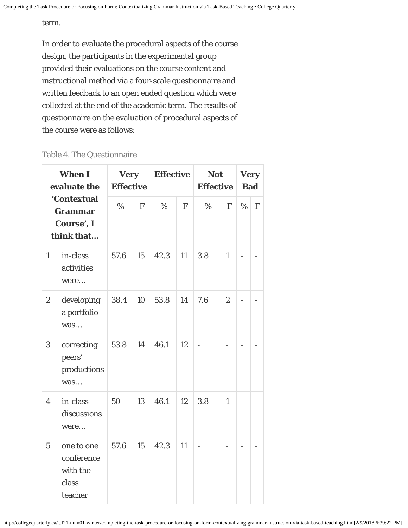#### term.

In order to evaluate the procedural aspects of the course design, the participants in the experimental group provided their evaluations on the course content and instructional method via a four-scale questionnaire and written feedback to an open ended question which were collected at the end of the academic term. The results of questionnaire on the evaluation of procedural aspects of the course were as follows:

#### Table 4. The Questionnaire

| <b>When I</b><br>evaluate the<br>'Contextual<br><b>Grammar</b><br>Course', I<br>think that |                                                          | <b>Very</b><br><b>Effective</b> |              | <b>Effective</b> |              | <b>Not</b><br><b>Effective</b> |                | <b>Very</b><br><b>Bad</b> |   |
|--------------------------------------------------------------------------------------------|----------------------------------------------------------|---------------------------------|--------------|------------------|--------------|--------------------------------|----------------|---------------------------|---|
|                                                                                            |                                                          | $\%$                            | $\mathbf{F}$ | $\%$             | $\mathbf{F}$ | $\%$                           | $\mathbf{F}$   | $\%$                      | F |
| $\mathbf{1}$                                                                               | in-class<br>activities<br>were                           | 57.6                            | 15           | 42.3             | 11           | 3.8                            | $\mathbf{1}$   |                           |   |
| $\overline{c}$                                                                             | developing<br>a portfolio<br>was                         | 38.4                            | 10           | 53.8             | 14           | 7.6                            | $\overline{2}$ |                           |   |
| 3                                                                                          | correcting<br>peers'<br>productions<br>was               | 53.8                            | 14           | 46.1             | 12           |                                |                |                           |   |
| $\overline{4}$                                                                             | in-class<br>discussions<br>were                          | 50                              | 13           | 46.1             | 12           | 3.8                            | $\mathbf{1}$   |                           |   |
| $\overline{5}$                                                                             | one to one<br>conference<br>with the<br>class<br>teacher | 57.6                            | 15           | 42.3             | 11           |                                |                |                           |   |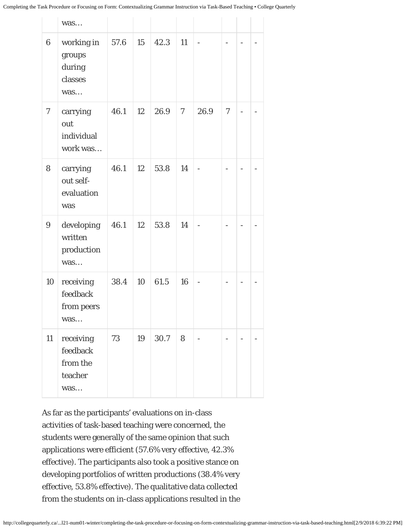|                  | was                                                 |      |    |      |    |                          |        |   |
|------------------|-----------------------------------------------------|------|----|------|----|--------------------------|--------|---|
| $\boldsymbol{6}$ | working in<br>groups<br>during<br>classes<br>was    | 57.6 | 15 | 42.3 | 11 |                          |        |   |
| $\tau$           | carrying<br>out<br>individual<br>work was           | 46.1 | 12 | 26.9 | 7  | 26.9                     | $\tau$ |   |
| 8                | carrying<br>out self-<br>evaluation<br>was          | 46.1 | 12 | 53.8 | 14 |                          |        |   |
| 9                | developing<br>written<br>production<br>was          | 46.1 | 12 | 53.8 | 14 | $\overline{\phantom{0}}$ |        | - |
| 10               | receiving<br>feedback<br>from peers<br>was          | 38.4 | 10 | 61.5 | 16 | $\overline{\phantom{0}}$ |        |   |
| 11               | receiving<br>feedback<br>from the<br>teacher<br>was | 73   | 19 | 30.7 | 8  |                          |        |   |

As far as the participants' evaluations on in-class activities of task-based teaching were concerned, the students were generally of the same opinion that such applications were efficient (57.6% very effective, 42.3% effective). The participants also took a positive stance on developing portfolios of written productions (38.4% very effective, 53.8% effective). The qualitative data collected from the students on in-class applications resulted in the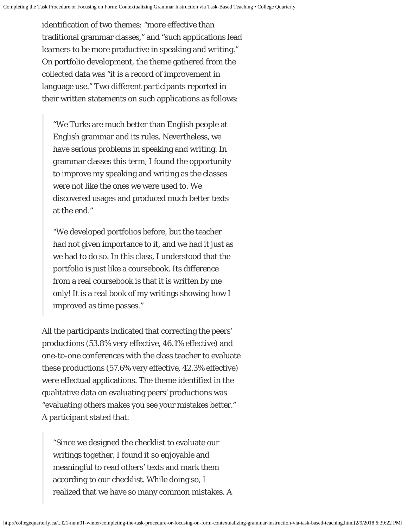identification of two themes: "more effective than traditional grammar classes," and "such applications lead learners to be more productive in speaking and writing." On portfolio development, the theme gathered from the collected data was "it is a record of improvement in language use." Two different participants reported in their written statements on such applications as follows:

"We Turks are much better than English people at English grammar and its rules. Nevertheless, we have serious problems in speaking and writing. In grammar classes this term, I found the opportunity to improve my speaking and writing as the classes were not like the ones we were used to. We discovered usages and produced much better texts at the end."

"We developed portfolios before, but the teacher had not given importance to it, and we had it just as we had to do so. In this class, I understood that the portfolio is just like a coursebook. Its difference from a real coursebook is that it is written by me only! It is a real book of my writings showing how I improved as time passes."

All the participants indicated that correcting the peers' productions (53.8% very effective, 46.1% effective) and one-to-one conferences with the class teacher to evaluate these productions (57.6% very effective, 42.3% effective) were effectual applications. The theme identified in the qualitative data on evaluating peers' productions was "evaluating others makes you see your mistakes better." A participant stated that:

"Since we designed the checklist to evaluate our writings together, I found it so enjoyable and meaningful to read others' texts and mark them according to our checklist. While doing so, I realized that we have so many common mistakes. A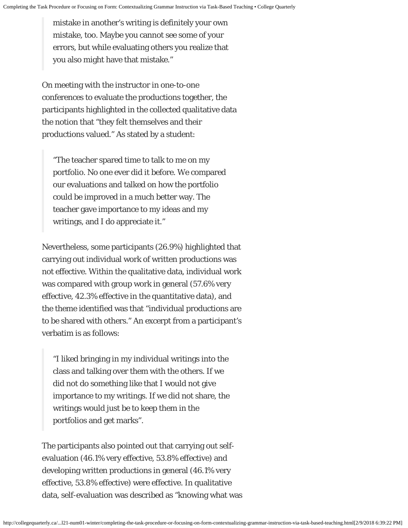mistake in another's writing is definitely your own mistake, too. Maybe you cannot see some of your errors, but while evaluating others you realize that you also might have that mistake."

On meeting with the instructor in one-to-one conferences to evaluate the productions together, the participants highlighted in the collected qualitative data the notion that "they felt themselves and their productions valued." As stated by a student:

"The teacher spared time to talk to me on my portfolio. No one ever did it before. We compared our evaluations and talked on how the portfolio could be improved in a much better way. The teacher gave importance to my ideas and my writings, and I do appreciate it."

Nevertheless, some participants (26.9%) highlighted that carrying out individual work of written productions was not effective. Within the qualitative data, individual work was compared with group work in general (57.6% very effective, 42.3% effective in the quantitative data), and the theme identified was that "individual productions are to be shared with others." An excerpt from a participant's verbatim is as follows:

"I liked bringing in my individual writings into the class and talking over them with the others. If we did not do something like that I would not give importance to my writings. If we did not share, the writings would just be to keep them in the portfolios and get marks".

The participants also pointed out that carrying out selfevaluation (46.1% very effective, 53.8% effective) and developing written productions in general (46.1% very effective, 53.8% effective) were effective. In qualitative data, self-evaluation was described as "knowing what was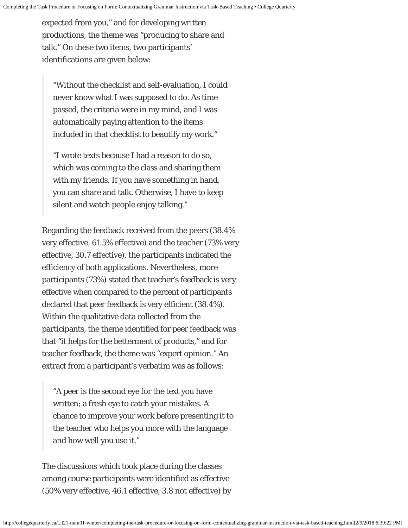expected from you," and for developing written productions, the theme was "producing to share and talk." On these two items, two participants' identifications are given below:

"Without the checklist and self-evaluation, I could never know what I was supposed to do. As time passed, the criteria were in my mind, and I was automatically paying attention to the items included in that checklist to beautify my work."

"I wrote texts because I had a reason to do so, which was coming to the class and sharing them with my friends. If you have something in hand, you can share and talk. Otherwise, I have to keep silent and watch people enjoy talking."

Regarding the feedback received from the peers (38.4% very effective, 61.5% effective) and the teacher (73% very effective, 30.7 effective), the participants indicated the efficiency of both applications. Nevertheless, more participants (73%) stated that teacher's feedback is very effective when compared to the percent of participants declared that peer feedback is very efficient (38.4%). Within the qualitative data collected from the participants, the theme identified for peer feedback was that "it helps for the betterment of products," and for teacher feedback, the theme was "expert opinion." An extract from a participant's verbatim was as follows:

"A peer is the second eye for the text you have written; a fresh eye to catch your mistakes. A chance to improve your work before presenting it to the teacher who helps you more with the language and how well you use it."

The discussions which took place during the classes among course participants were identified as effective (50% very effective, 46.1 effective, 3.8 not effective) by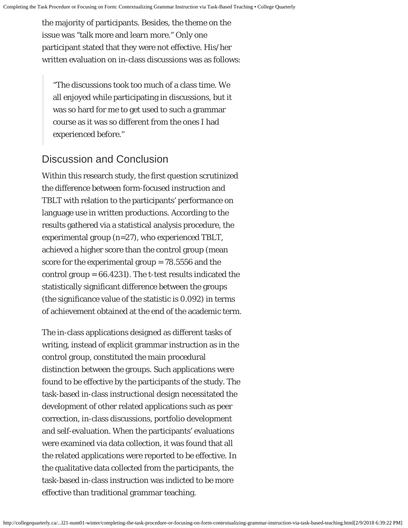the majority of participants. Besides, the theme on the issue was "talk more and learn more." Only one participant stated that they were not effective. His/her written evaluation on in-class discussions was as follows:

"The discussions took too much of a class time. We all enjoyed while participating in discussions, but it was so hard for me to get used to such a grammar course as it was so different from the ones I had experienced before."

# Discussion and Conclusion

Within this research study, the first question scrutinized the difference between form-focused instruction and TBLT with relation to the participants' performance on language use in written productions. According to the results gathered via a statistical analysis procedure, the experimental group (n=27), who experienced TBLT, achieved a higher score than the control group (mean score for the experimental group = 78.5556 and the control group = 66.4231). The t-test results indicated the statistically significant difference between the groups (the significance value of the statistic is 0.092) in terms of achievement obtained at the end of the academic term.

The in-class applications designed as different tasks of writing, instead of explicit grammar instruction as in the control group, constituted the main procedural distinction between the groups. Such applications were found to be effective by the participants of the study. The task-based in-class instructional design necessitated the development of other related applications such as peer correction, in-class discussions, portfolio development and self-evaluation. When the participants' evaluations were examined via data collection, it was found that all the related applications were reported to be effective. In the qualitative data collected from the participants, the task-based in-class instruction was indicted to be more effective than traditional grammar teaching.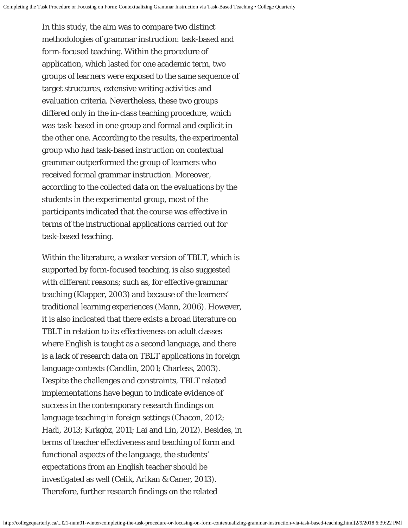In this study, the aim was to compare two distinct methodologies of grammar instruction: task-based and form-focused teaching. Within the procedure of application, which lasted for one academic term, two groups of learners were exposed to the same sequence of target structures, extensive writing activities and evaluation criteria. Nevertheless, these two groups differed only in the in-class teaching procedure, which was task-based in one group and formal and explicit in the other one. According to the results, the experimental group who had task-based instruction on contextual grammar outperformed the group of learners who received formal grammar instruction. Moreover, according to the collected data on the evaluations by the students in the experimental group, most of the participants indicated that the course was effective in terms of the instructional applications carried out for task-based teaching.

Within the literature, a weaker version of TBLT, which is supported by form-focused teaching, is also suggested with different reasons; such as, for effective grammar teaching (Klapper, 2003) and because of the learners' traditional learning experiences (Mann, 2006). However, it is also indicated that there exists a broad literature on TBLT in relation to its effectiveness on adult classes where English is taught as a second language, and there is a lack of research data on TBLT applications in foreign language contexts (Candlin, 2001; Charless, 2003). Despite the challenges and constraints, TBLT related implementations have begun to indicate evidence of success in the contemporary research findings on language teaching in foreign settings (Chacon, 2012; Hadi, 2013; Kırkgöz, 2011; Lai and Lin, 2012). Besides, in terms of teacher effectiveness and teaching of form and functional aspects of the language, the students' expectations from an English teacher should be investigated as well (Celik, Arikan & Caner, 2013). Therefore, further research findings on the related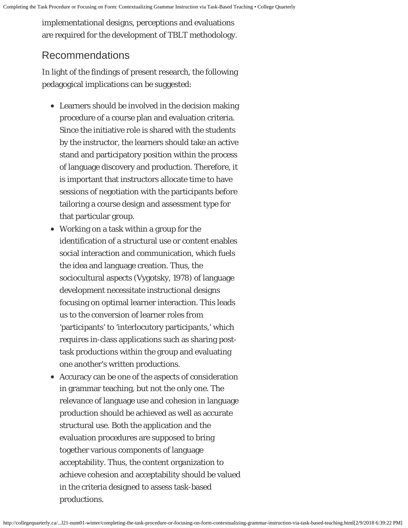implementational designs, perceptions and evaluations are required for the development of TBLT methodology.

# Recommendations

In light of the findings of present research, the following pedagogical implications can be suggested:

- Learners should be involved in the decision making procedure of a course plan and evaluation criteria. Since the initiative role is shared with the students by the instructor, the learners should take an active stand and participatory position within the process of language discovery and production. Therefore, it is important that instructors allocate time to have sessions of negotiation with the participants before tailoring a course design and assessment type for that particular group.
- Working on a task within a group for the identification of a structural use or content enables social interaction and communication, which fuels the idea and language creation. Thus, the sociocultural aspects (Vygotsky, 1978) of language development necessitate instructional designs focusing on optimal learner interaction. This leads us to the conversion of learner roles from 'participants' to 'interlocutory participants,' which requires in-class applications such as sharing posttask productions within the group and evaluating one another's written productions.
- Accuracy can be one of the aspects of consideration in grammar teaching, but not the only one. The relevance of language use and cohesion in language production should be achieved as well as accurate structural use. Both the application and the evaluation procedures are supposed to bring together various components of language acceptability. Thus, the content organization to achieve cohesion and acceptability should be valued in the criteria designed to assess task-based productions.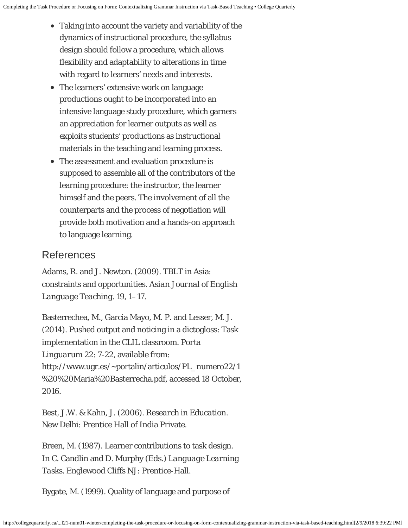- Taking into account the variety and variability of the dynamics of instructional procedure, the syllabus design should follow a procedure, which allows flexibility and adaptability to alterations in time with regard to learners' needs and interests.
- The learners' extensive work on language productions ought to be incorporated into an intensive language study procedure, which garners an appreciation for learner outputs as well as exploits students' productions as instructional materials in the teaching and learning process.
- The assessment and evaluation procedure is supposed to assemble all of the contributors of the learning procedure: the instructor, the learner himself and the peers. The involvement of all the counterparts and the process of negotiation will provide both motivation and a hands-on approach to language learning.

#### References

Adams, R. and J. Newton. (2009). TBLT in Asia: constraints and opportunities. *Asian Journal of English Language Teaching.* 19, 1–17.

Basterrechea, M., Garcia Mayo, M. P. and Lesser, M. J. (2014). Pushed output and noticing in a dictogloss: Task implementation in the CLIL classroom. *Porta Linguarum 22*: 7-22, available from: http://www.ugr.es/~portalin/articulos/PL\_numero22/1 %20%20Maria%20Basterrecha.pdf, accessed 18 October, 2016.

Best, J.W. & Kahn, J. (2006). *Research in Education*. New Delhi: Prentice Hall of India Private.

Breen, M. (1987). Learner contributions to task design. In C. Candlin and D. Murphy (Eds.) *Language Learning Tasks*. Englewood Cliffs NJ: Prentice-Hall.

Bygate, M. (1999). Quality of language and purpose of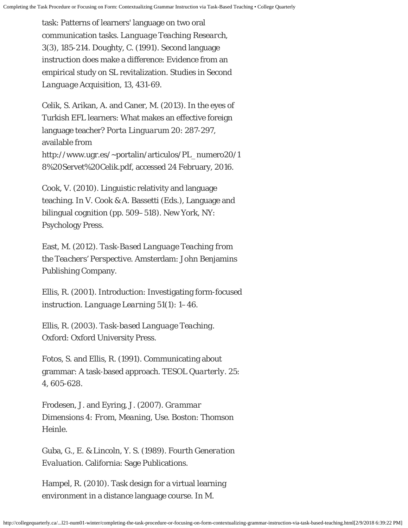task: Patterns of learners' language on two oral communication tasks. *Language Teaching Research, 3*(3), 185-214. Doughty, C. (1991). Second language instruction does make a difference: Evidence from an empirical study on SL revitalization. *Studies in Second Language Acquisition, 13*, 431-69.

Celik, S. Arikan, A. and Caner, M. (2013). In the eyes of Turkish EFL learners: What makes an effective foreign language teacher? *Porta Linguarum 20*: 287-297, available from http://www.ugr.es/~portalin/articulos/PL\_numero20/1 8%20Servet%20Celik.pdf, accessed 24 February, 2016.

Cook, V. (2010). Linguistic relativity and language teaching. In V. Cook & A. Bassetti (Eds.), Language and bilingual cognition (pp. 509–518). New York, NY: Psychology Press.

East, M. (2012). *Task-Based Language Teaching from the Teachers' Perspective*. Amsterdam: John Benjamins Publishing Company.

Ellis, R. (2001). Introduction: Investigating form-focused instruction. *Language Learning 51*(1): 1–46.

Ellis, R. (2003). *Task-based Language Teaching*. Oxford: Oxford University Press.

Fotos, S. and Ellis, R. (1991). Communicating about grammar: A task-based approach. *TESOL Quarterly.* 25: 4, 605-628.

Frodesen, J. and Eyring, J. (2007). *Grammar Dimensions 4: From, Meaning, Use.* Boston: Thomson Heinle.

Guba, G., E. & Lincoln, Y. S. (1989). *Fourth Generation Evaluation.* California: Sage Publications.

Hampel, R. (2010). Task design for a virtual learning environment in a distance language course. In M.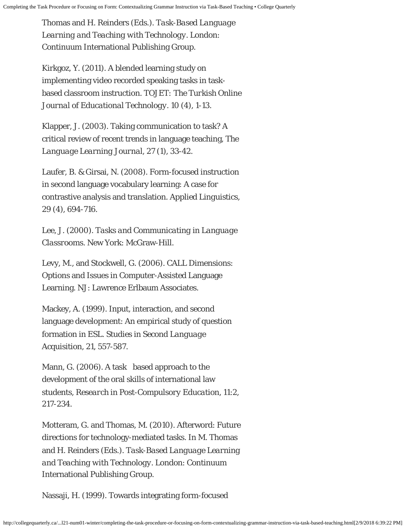Thomas and H. Reinders (Eds.). *Task-Based Language Learning and Teaching with Technology.* London: Continuum International Publishing Group.

Kirkgoz, Y. (2011). A blended learning study on implementing video recorded speaking tasks in taskbased classroom instruction. *TOJET: The Turkish Online Journal of Educational Technology. 10* (4), 1-13.

Klapper, J. (2003). Taking communication to task? A critical review of recent trends in language teaching, *The Language Learning Journal, 27* (1), 33-42.

Laufer, B. & Girsai, N. (2008). Form-focused instruction in second language vocabulary learning: A case for contrastive analysis and translation. *Applied Linguistics, 29* (4), 694-716.

Lee, J. (2000). *Tasks and Communicating in Language Classrooms.* New York: McGraw-Hill.

Levy, M., and Stockwell, G. (2006). CALL Dimensions: Options and Issues in Computer-Assisted Language Learning. NJ: Lawrence Erlbaum Associates.

Mackey, A. (1999). Input, interaction, and second language development: An empirical study of question formation in ESL. *Studies in Second Language Acquisition, 21*, 557-587.

Mann, G. (2006). A task based approach to the development of the oral skills of international law students, *Research in Post-Compulsory Education*, 11:2, 217-234.

Motteram, G. and Thomas, M. (2010). Afterword: Future directions for technology-mediated tasks. In M. Thomas and H. Reinders (Eds.). *Task-Based Language Learning and Teaching with Technology.* London: Continuum International Publishing Group.

Nassaji, H. (1999). Towards integrating form-focused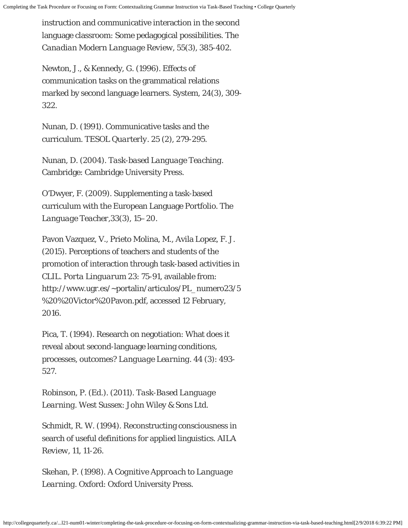instruction and communicative interaction in the second language classroom: Some pedagogical possibilities. *The Canadian Modern Language Review, 55*(3), 385-402.

Newton, J., & Kennedy, G. (1996). Effects of communication tasks on the grammatical relations marked by second language learners. System, 24(3), 309- 322.

Nunan, D. (1991). Communicative tasks and the curriculum. *TESOL Quarterly. 25* (2), 279-295.

Nunan, D. (2004). *Task-based Language Teaching.* Cambridge: Cambridge University Press.

O'Dwyer, F. (2009). Supplementing a task-based curriculum with the European Language Portfolio. *The Language Teacher,33*(3), 15–20.

Pavon Vazquez, V., Prieto Molina, M., Avila Lopez, F. J. (2015). Perceptions of teachers and students of the promotion of interaction through task-based activities in CLIL. *Porta Linguarum 23*: 75-91, available from: http://www.ugr.es/~portalin/articulos/PL\_numero23/5 %20%20Victor%20Pavon.pdf, accessed 12 February, 2016.

Pica, T. (1994). Research on negotiation: What does it reveal about second-language learning conditions, processes, outcomes? *Language Learning. 44* (3): 493- 527.

Robinson, P. (Ed.). (2011). *Task-Based Language Learning.* West Sussex: John Wiley & Sons Ltd.

Schmidt, R. W. (1994). Reconstructing consciousness in search of useful definitions for applied linguistics. *AILA Review*, 11, 11-26.

Skehan, P. (1998). *A Cognitive Approach to Language Learning.* Oxford: Oxford University Press.